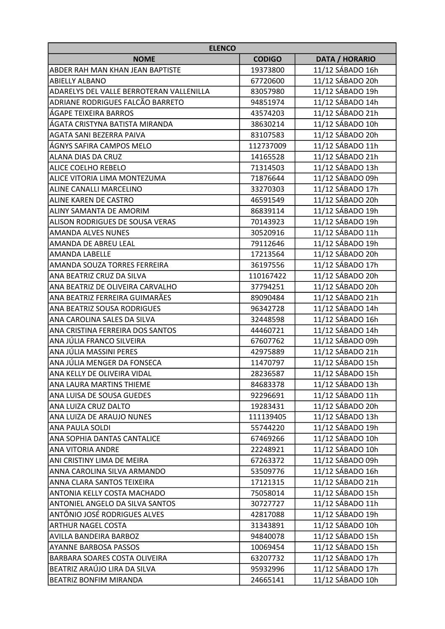| <b>ELENCO</b>                            |               |                       |
|------------------------------------------|---------------|-----------------------|
| <b>NOME</b>                              | <b>CODIGO</b> | <b>DATA / HORARIO</b> |
| <b>ABDER RAH MAN KHAN JEAN BAPTISTE</b>  | 19373800      | 11/12 SÁBADO 16h      |
| <b>ABIELLY ALBANO</b>                    | 67720600      | 11/12 SÁBADO 20h      |
| ADARELYS DEL VALLE BERROTERAN VALLENILLA | 83057980      | 11/12 SÁBADO 19h      |
| ADRIANE RODRIGUES FALCÃO BARRETO         | 94851974      | 11/12 SÁBADO 14h      |
| ÁGAPE TEIXEIRA BARROS                    | 43574203      | 11/12 SÁBADO 21h      |
| ÁGATA CRISTYNA BATISTA MIRANDA           | 38630214      | 11/12 SÁBADO 10h      |
| AGATA SANI BEZERRA PAIVA                 | 83107583      | 11/12 SÁBADO 20h      |
| ÁGNYS SAFIRA CAMPOS MELO                 | 112737009     | 11/12 SÁBADO 11h      |
| ALANA DIAS DA CRUZ                       | 14165528      | 11/12 SÁBADO 21h      |
| ALICE COELHO REBELO                      | 71314503      | 11/12 SÁBADO 13h      |
| ALICE VITORIA LIMA MONTEZUMA             | 71876644      | 11/12 SÁBADO 09h      |
| ALINE CANALLI MARCELINO                  | 33270303      | 11/12 SÁBADO 17h      |
| <b>ALINE KAREN DE CASTRO</b>             | 46591549      | 11/12 SÁBADO 20h      |
| ALINY SAMANTA DE AMORIM                  | 86839114      | 11/12 SÁBADO 19h      |
| ALISON RODRIGUES DE SOUSA VERAS          | 70143923      | 11/12 SÁBADO 19h      |
| <b>AMANDA ALVES NUNES</b>                | 30520916      | 11/12 SÁBADO 11h      |
| <b>AMANDA DE ABREU LEAL</b>              | 79112646      | 11/12 SÁBADO 19h      |
| <b>AMANDA LABELLE</b>                    | 17213564      | 11/12 SÁBADO 20h      |
| AMANDA SOUZA TORRES FERREIRA             | 36197556      | 11/12 SÁBADO 17h      |
| ANA BEATRIZ CRUZ DA SILVA                | 110167422     | 11/12 SÁBADO 20h      |
| ANA BEATRIZ DE OLIVEIRA CARVALHO         | 37794251      | 11/12 SÁBADO 20h      |
| ANA BEATRIZ FERREIRA GUIMARÃES           | 89090484      | 11/12 SÁBADO 21h      |
| ANA BEATRIZ SOUSA RODRIGUES              | 96342728      | 11/12 SÁBADO 14h      |
| ANA CAROLINA SALES DA SILVA              | 32448598      | 11/12 SÁBADO 16h      |
| ANA CRISTINA FERREIRA DOS SANTOS         | 44460721      | 11/12 SÁBADO 14h      |
| ANA JÚLIA FRANCO SILVEIRA                | 67607762      | 11/12 SÁBADO 09h      |
| ANA JÚLIA MASSINI PERES                  | 42975889      | 11/12 SÁBADO 21h      |
| ANA JÚLIA MENGER DA FONSECA              | 11470797      | 11/12 SÁBADO 15h      |
| ANA KELLY DE OLIVEIRA VIDAL              | 28236587      | 11/12 SÁBADO 15h      |
| <b>ANA LAURA MARTINS THIEME</b>          | 84683378      | 11/12 SÁBADO 13h      |
| ANA LUISA DE SOUSA GUEDES                | 92296691      | 11/12 SÁBADO 11h      |
| ANA LUIZA CRUZ DALTO                     | 19283431      | 11/12 SÁBADO 20h      |
| ANA LUIZA DE ARAUJO NUNES                | 111139405     | 11/12 SÁBADO 13h      |
| <b>ANA PAULA SOLDI</b>                   | 55744220      | 11/12 SÁBADO 19h      |
| <b>ANA SOPHIA DANTAS CANTALICE</b>       | 67469266      | 11/12 SÁBADO 10h      |
| <b>ANA VITORIA ANDRE</b>                 | 22248921      | 11/12 SÁBADO 10h      |
| ANI CRISTINY LIMA DE MEIRA               | 67263372      | 11/12 SÁBADO 09h      |
| ANNA CAROLINA SILVA ARMANDO              | 53509776      | 11/12 SÁBADO 16h      |
| ANNA CLARA SANTOS TEIXEIRA               | 17121315      | 11/12 SÁBADO 21h      |
| ANTONIA KELLY COSTA MACHADO              | 75058014      | 11/12 SÁBADO 15h      |
| ANTONIEL ANGELO DA SILVA SANTOS          | 30727727      | 11/12 SÁBADO 11h      |
| ANTÔNIO JOSÉ RODRIGUES ALVES             | 42817088      | 11/12 SÁBADO 19h      |
| <b>ARTHUR NAGEL COSTA</b>                | 31343891      | 11/12 SÁBADO 10h      |
| AVILLA BANDEIRA BARBOZ                   | 94840078      | 11/12 SÁBADO 15h      |
| <b>AYANNE BARBOSA PASSOS</b>             | 10069454      | 11/12 SÁBADO 15h      |
| BARBARA SOARES COSTA OLIVEIRA            | 63207732      | 11/12 SÁBADO 17h      |
| BEATRIZ ARAÚJO LIRA DA SILVA             | 95932996      | 11/12 SÁBADO 17h      |
| BEATRIZ BONFIM MIRANDA                   | 24665141      | 11/12 SÁBADO 10h      |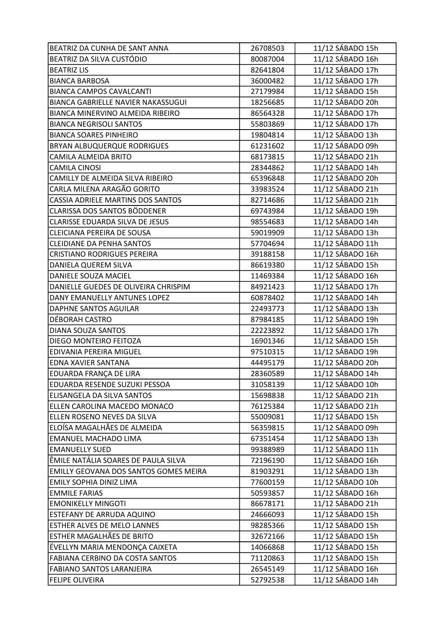| BEATRIZ DA CUNHA DE SANT ANNA          | 26708503 | 11/12 SÁBADO 15h |
|----------------------------------------|----------|------------------|
| BEATRIZ DA SILVA CUSTÓDIO              | 80087004 | 11/12 SÁBADO 16h |
| <b>BEATRIZ LIS</b>                     | 82641804 | 11/12 SÁBADO 17h |
| <b>BIANCA BARBOSA</b>                  | 36000482 | 11/12 SÁBADO 17h |
| <b>BIANCA CAMPOS CAVALCANTI</b>        | 27179984 | 11/12 SÁBADO 15h |
| BIANCA GABRIELLE NAVIER NAKASSUGUI     | 18256685 | 11/12 SÁBADO 20h |
| BIANCA MINERVINO ALMEIDA RIBEIRO       | 86564328 | 11/12 SÁBADO 17h |
| <b>BIANCA NEGRISOLI SANTOS</b>         | 55803869 | 11/12 SÁBADO 17h |
| <b>BIANCA SOARES PINHEIRO</b>          | 19804814 | 11/12 SÁBADO 13h |
| <b>BRYAN ALBUQUERQUE RODRIGUES</b>     | 61231602 | 11/12 SÁBADO 09h |
| CAMILA ALMEIDA BRITO                   | 68173815 | 11/12 SÁBADO 21h |
| <b>CAMILA CINOSI</b>                   | 28344862 | 11/12 SÁBADO 14h |
| CAMILLY DE ALMEIDA SILVA RIBEIRO       | 65396848 | 11/12 SÁBADO 20h |
| CARLA MILENA ARAGÃO GORITO             | 33983524 | 11/12 SÁBADO 21h |
| CASSIA ADRIELE MARTINS DOS SANTOS      | 82714686 | 11/12 SÁBADO 21h |
| CLARISSA DOS SANTOS BÖDDENER           | 69743984 | 11/12 SÁBADO 19h |
| CLARISSE EDUARDA SILVA DE JESUS        | 98554683 | 11/12 SÁBADO 14h |
| CLEICIANA PEREIRA DE SOUSA             | 59019909 | 11/12 SÁBADO 13h |
| CLEIDIANE DA PENHA SANTOS              | 57704694 | 11/12 SÁBADO 11h |
| <b>CRISTIANO RODRIGUES PEREIRA</b>     | 39188158 | 11/12 SÁBADO 16h |
| DANIELA QUEREM SILVA                   | 86619380 | 11/12 SÁBADO 15h |
| DANIELE SOUZA MACIEL                   | 11469384 | 11/12 SÁBADO 16h |
| DANIELLE GUEDES DE OLIVEIRA CHRISPIM   | 84921423 | 11/12 SÁBADO 17h |
| DANY EMANUELLY ANTUNES LOPEZ           | 60878402 | 11/12 SÁBADO 14h |
| DAPHNE SANTOS AGUILAR                  | 22493773 | 11/12 SÁBADO 13h |
| DÉBORAH CASTRO                         | 87984185 | 11/12 SÁBADO 19h |
| DIANA SOUZA SANTOS                     | 22223892 | 11/12 SÁBADO 17h |
| DIEGO MONTEIRO FEITOZA                 | 16901346 | 11/12 SÁBADO 15h |
| <b>EDIVANIA PEREIRA MIGUEL</b>         | 97510315 | 11/12 SÁBADO 19h |
| <b>EDNA XAVIER SANTANA</b>             | 44495179 | 11/12 SÁBADO 20h |
| EDUARDA FRANÇA DE LIRA                 | 28360589 | 11/12 SÁBADO 14h |
| EDUARDA RESENDE SUZUKI PESSOA          | 31058139 | 11/12 SÁBADO 10h |
| ELISANGELA DA SILVA SANTOS             | 15698838 | 11/12 SÁBADO 21h |
| ELLEN CAROLINA MACEDO MONACO           | 76125384 | 11/12 SÁBADO 21h |
| ELLEN ROSENO NEVES DA SILVA            | 55009081 | 11/12 SÁBADO 15h |
| ELOÍSA MAGALHÃES DE ALMEIDA            | 56359815 | 11/12 SÁBADO 09h |
| <b>EMANUEL MACHADO LIMA</b>            | 67351454 | 11/12 SÁBADO 13h |
| <b>EMANUELLY SUED</b>                  | 99388989 | 11/12 SÁBADO 11h |
| ÊMILE NATÁLIA SOARES DE PAULA SILVA    | 72196190 | 11/12 SÁBADO 16h |
| EMILLY GEOVANA DOS SANTOS GOMES MEIRA  | 81903291 | 11/12 SÁBADO 13h |
| EMILY SOPHIA DINIZ LIMA                | 77600159 | 11/12 SÁBADO 10h |
| <b>EMMILE FARIAS</b>                   | 50593857 | 11/12 SÁBADO 16h |
| <b>EMONIKELLY MINGOTI</b>              | 86678171 | 11/12 SÁBADO 21h |
| ESTEFANY DE ARRUDA AQUINO              | 24666093 | 11/12 SÁBADO 15h |
| ESTHER ALVES DE MELO LANNES            | 98285366 | 11/12 SÁBADO 15h |
| ESTHER MAGALHÃES DE BRITO              | 32672166 | 11/12 SÁBADO 15h |
| ÉVELLYN MARIA MENDONÇA CAIXETA         | 14066868 | 11/12 SÁBADO 15h |
| <b>FABIANA CERBINO DA COSTA SANTOS</b> | 71120863 | 11/12 SÁBADO 15h |
| <b>FABIANO SANTOS LARANJEIRA</b>       | 26545149 | 11/12 SÁBADO 16h |
| <b>FELIPE OLIVEIRA</b>                 | 52792538 | 11/12 SÁBADO 14h |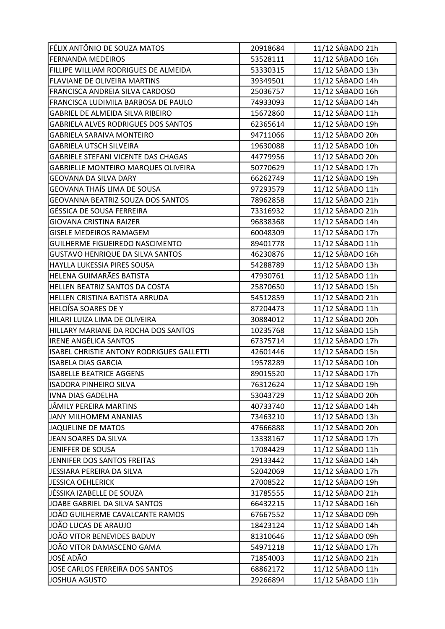| FÉLIX ANTÔNIO DE SOUZA MATOS               | 20918684 | 11/12 SÁBADO 21h |
|--------------------------------------------|----------|------------------|
| <b>FERNANDA MEDEIROS</b>                   | 53528111 | 11/12 SÁBADO 16h |
| FILLIPE WILLIAM RODRIGUES DE ALMEIDA       | 53330315 | 11/12 SÁBADO 13h |
| FLAVIANE DE OLIVEIRA MARTINS               | 39349501 | 11/12 SÁBADO 14h |
| FRANCISCA ANDREIA SILVA CARDOSO            | 25036757 | 11/12 SÁBADO 16h |
| FRANCISCA LUDIMILA BARBOSA DE PAULO        | 74933093 | 11/12 SÁBADO 14h |
| GABRIEL DE ALMEIDA SILVA RIBEIRO           | 15672860 | 11/12 SÁBADO 11h |
| <b>GABRIELA ALVES RODRIGUES DOS SANTOS</b> | 62365614 | 11/12 SÁBADO 19h |
| <b>GABRIELA SARAIVA MONTEIRO</b>           | 94711066 | 11/12 SÁBADO 20h |
| <b>GABRIELA UTSCH SILVEIRA</b>             | 19630088 | 11/12 SÁBADO 10h |
| <b>GABRIELE STEFANI VICENTE DAS CHAGAS</b> | 44779956 | 11/12 SÁBADO 20h |
| GABRIELLE MONTEIRO MARQUES OLIVEIRA        | 50770629 | 11/12 SÁBADO 17h |
| <b>GEOVANA DA SILVA DARY</b>               | 66262749 | 11/12 SÁBADO 19h |
| <b>GEOVANA THAÍS LIMA DE SOUSA</b>         | 97293579 | 11/12 SÁBADO 11h |
| GEOVANNA BEATRIZ SOUZA DOS SANTOS          | 78962858 | 11/12 SÁBADO 21h |
| GÉSSICA DE SOUSA FERREIRA                  | 73316932 | 11/12 SÁBADO 21h |
| <b>GIOVANA CRISTINA RAIZER</b>             | 96838368 | 11/12 SÁBADO 14h |
| <b>GISELE MEDEIROS RAMAGEM</b>             | 60048309 | 11/12 SÁBADO 17h |
| GUILHERME FIGUEIREDO NASCIMENTO            | 89401778 | 11/12 SÁBADO 11h |
| <b>GUSTAVO HENRIQUE DA SILVA SANTOS</b>    | 46230876 | 11/12 SÁBADO 16h |
| HAYLLA LUKESSIA PIRES SOUSA                | 54288789 | 11/12 SÁBADO 13h |
| HELENA GUIMARÃES BATISTA                   | 47930761 | 11/12 SÁBADO 11h |
| HELLEN BEATRIZ SANTOS DA COSTA             | 25870650 | 11/12 SÁBADO 15h |
| HELLEN CRISTINA BATISTA ARRUDA             | 54512859 | 11/12 SÁBADO 21h |
| <b>HELOÍSA SOARES DE Y</b>                 | 87204473 | 11/12 SÁBADO 11h |
| HILARI LUIZA LIMA DE OLIVEIRA              | 30884012 | 11/12 SÁBADO 20h |
| HILLARY MARIANE DA ROCHA DOS SANTOS        | 10235768 | 11/12 SÁBADO 15h |
| <b>IRENE ANGÉLICA SANTOS</b>               | 67375714 | 11/12 SÁBADO 17h |
| ISABEL CHRISTIE ANTONY RODRIGUES GALLETTI  | 42601446 | 11/12 SÁBADO 15h |
| <b>ISABELA DIAS GARCIA</b>                 | 19578289 | 11/12 SÁBADO 10h |
| <b>ISABELLE BEATRICE AGGENS</b>            | 89015520 | 11/12 SÁBADO 17h |
| <b>ISADORA PINHEIRO SILVA</b>              | 76312624 | 11/12 SÁBADO 19h |
| IVNA DIAS GADELHA                          | 53043729 | 11/12 SÁBADO 20h |
| JÂMILY PEREIRA MARTINS                     | 40733740 | 11/12 SÁBADO 14h |
| JANY MILHOMEM ANANIAS                      | 73463210 | 11/12 SÁBADO 13h |
| JAQUELINE DE MATOS                         | 47666888 | 11/12 SÁBADO 20h |
| JEAN SOARES DA SILVA                       | 13338167 | 11/12 SÁBADO 17h |
| JENIFFER DE SOUSA                          | 17084429 | 11/12 SÁBADO 11h |
| JENNIFER DOS SANTOS FREITAS                | 29133442 | 11/12 SÁBADO 14h |
| JESSIARA PEREIRA DA SILVA                  | 52042069 | 11/12 SÁBADO 17h |
| JESSICA OEHLERICK                          | 27008522 | 11/12 SÁBADO 19h |
| JÉSSIKA IZABELLE DE SOUZA                  | 31785555 | 11/12 SÁBADO 21h |
| JOABE GABRIEL DA SILVA SANTOS              | 66432215 | 11/12 SÁBADO 16h |
| JOÃO GUILHERME CAVALCANTE RAMOS            | 67667552 | 11/12 SÁBADO 09h |
| JOÃO LUCAS DE ARAUJO                       | 18423124 | 11/12 SÁBADO 14h |
| JOÃO VITOR BENEVIDES BADUY                 | 81310646 | 11/12 SÁBADO 09h |
| JOÃO VITOR DAMASCENO GAMA                  | 54971218 | 11/12 SÁBADO 17h |
| JOSÉ ADÃO                                  | 71854003 | 11/12 SÁBADO 21h |
| JOSE CARLOS FERREIRA DOS SANTOS            | 68862172 | 11/12 SÁBADO 11h |
| JOSHUA AGUSTO                              | 29266894 | 11/12 SÁBADO 11h |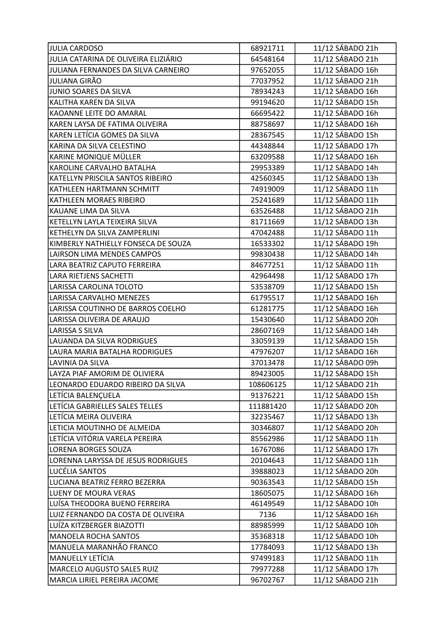| <b>JULIA CARDOSO</b>                 | 68921711  | 11/12 SÁBADO 21h |
|--------------------------------------|-----------|------------------|
| JULIA CATARINA DE OLIVEIRA ELIZIÁRIO | 64548164  | 11/12 SÁBADO 21h |
| JULIANA FERNANDES DA SILVA CARNEIRO  | 97652055  | 11/12 SÁBADO 16h |
| JULIANA GIRÃO                        | 77037952  | 11/12 SÁBADO 21h |
| JUNIO SOARES DA SILVA                | 78934243  | 11/12 SÁBADO 16h |
| KALITHA KAREN DA SILVA               | 99194620  | 11/12 SÁBADO 15h |
| KAOANNE LEITE DO AMARAL              | 66695422  | 11/12 SÁBADO 16h |
| KAREN LAYSA DE FATIMA OLIVEIRA       | 88758697  | 11/12 SÁBADO 16h |
| KAREN LETÍCIA GOMES DA SILVA         | 28367545  | 11/12 SÁBADO 15h |
| KARINA DA SILVA CELESTINO            | 44348844  | 11/12 SÁBADO 17h |
| KARINE MONIQUE MÜLLER                | 63209588  | 11/12 SÁBADO 16h |
| KAROLINE CARVALHO BATALHA            | 29953389  | 11/12 SÁBADO 14h |
| KATELLYN PRISCILA SANTOS RIBEIRO     | 42560345  | 11/12 SÁBADO 13h |
| KATHLEEN HARTMANN SCHMITT            | 74919009  | 11/12 SÁBADO 11h |
| KATHLEEN MORAES RIBEIRO              | 25241689  | 11/12 SÁBADO 11h |
| KAUANE LIMA DA SILVA                 | 63526488  | 11/12 SÁBADO 21h |
| KETELLYN LAYLA TEIXEIRA SILVA        | 81711669  | 11/12 SÁBADO 13h |
| KETHELYN DA SILVA ZAMPERLINI         | 47042488  | 11/12 SÁBADO 11h |
| KIMBERLY NATHIELLY FONSECA DE SOUZA  | 16533302  | 11/12 SÁBADO 19h |
| LAIRSON LIMA MENDES CAMPOS           | 99830438  | 11/12 SÁBADO 14h |
| LARA BEATRIZ CAPUTO FERREIRA         | 84677251  | 11/12 SÁBADO 11h |
| <b>LARA RIETJENS SACHETTI</b>        | 42964498  | 11/12 SÁBADO 17h |
| LARISSA CAROLINA TOLOTO              | 53538709  | 11/12 SÁBADO 15h |
| LARISSA CARVALHO MENEZES             | 61795517  | 11/12 SÁBADO 16h |
| LARISSA COUTINHO DE BARROS COELHO    | 61281775  | 11/12 SÁBADO 16h |
| LARISSA OLIVEIRA DE ARAUJO           | 15430640  | 11/12 SÁBADO 20h |
| <b>LARISSA S SILVA</b>               | 28607169  | 11/12 SÁBADO 14h |
| LAUANDA DA SILVA RODRIGUES           | 33059139  | 11/12 SÁBADO 15h |
| LAURA MARIA BATALHA RODRIGUES        | 47976207  | 11/12 SÁBADO 16h |
| LAVINIA DA SILVA                     | 37013478  | 11/12 SÁBADO 09h |
| LAYZA PIAF AMORIM DE OLIVIERA        | 89423005  | 11/12 SÁBADO 15h |
| LEONARDO EDUARDO RIBEIRO DA SILVA    | 108606125 | 11/12 SÁBADO 21h |
| LETÍCIA BALENÇUELA                   | 91376221  | 11/12 SÁBADO 15h |
| LETÍCIA GABRIELLES SALES TELLES      | 111881420 | 11/12 SÁBADO 20h |
| LETÍCIA MEIRA OLIVEIRA               | 32235467  | 11/12 SÁBADO 13h |
| LETICIA MOUTINHO DE ALMEIDA          | 30346807  | 11/12 SÁBADO 20h |
| LETÍCIA VITÓRIA VARELA PEREIRA       | 85562986  | 11/12 SÁBADO 11h |
| LORENA BORGES SOUZA                  | 16767086  | 11/12 SÁBADO 17h |
| LORENNA LARYSSA DE JESUS RODRIGUES   | 20104643  | 11/12 SÁBADO 11h |
| LUCÉLIA SANTOS                       | 39888023  | 11/12 SÁBADO 20h |
| LUCIANA BEATRIZ FERRO BEZERRA        | 90363543  | 11/12 SÁBADO 15h |
| LUENY DE MOURA VERAS                 | 18605075  | 11/12 SÁBADO 16h |
| LUÍSA THEODORA BUENO FERREIRA        | 46149549  | 11/12 SÁBADO 10h |
| LUIZ FERNANDO DA COSTA DE OLIVEIRA   | 7136      | 11/12 SÁBADO 16h |
| LUÍZA KITZBERGER BIAZOTTI            | 88985999  | 11/12 SÁBADO 10h |
| <b>MANOELA ROCHA SANTOS</b>          | 35368318  | 11/12 SÁBADO 10h |
| MANUELA MARANHÃO FRANCO              | 17784093  | 11/12 SÁBADO 13h |
| <b>MANUELLY LETÍCIA</b>              | 97499183  | 11/12 SÁBADO 11h |
| MARCELO AUGUSTO SALES RUIZ           | 79977288  | 11/12 SÁBADO 17h |
| MARCIA LIRIEL PEREIRA JACOME         | 96702767  | 11/12 SÁBADO 21h |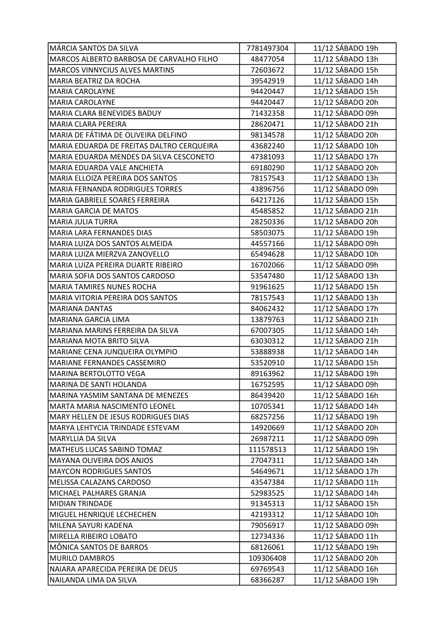| MÁRCIA SANTOS DA SILVA                    | 7781497304 | 11/12 SÁBADO 19h |
|-------------------------------------------|------------|------------------|
| MARCOS ALBERTO BARBOSA DE CARVALHO FILHO  | 48477054   | 11/12 SÁBADO 13h |
| <b>MARCOS VINNYCIUS ALVES MARTINS</b>     | 72603672   | 11/12 SÁBADO 15h |
| MARIA BEATRIZ DA ROCHA                    | 39542919   | 11/12 SÁBADO 14h |
| MARIA CAROLAYNE                           | 94420447   | 11/12 SÁBADO 15h |
| MARIA CAROLAYNE                           | 94420447   | 11/12 SÁBADO 20h |
| MARIA CLARA BENEVIDES BADUY               | 71432358   | 11/12 SÁBADO 09h |
| MARIA CLARA PEREIRA                       | 28620471   | 11/12 SÁBADO 21h |
| MARIA DE FÁTIMA DE OLIVEIRA DELFINO       | 98134578   | 11/12 SÁBADO 20h |
| MARIA EDUARDA DE FREITAS DALTRO CERQUEIRA | 43682240   | 11/12 SÁBADO 10h |
| MARIA EDUARDA MENDES DA SILVA CESCONETO   | 47381093   | 11/12 SÁBADO 17h |
| MARIA EDUARDA VALE ANCHIETA               | 69180290   | 11/12 SÁBADO 20h |
| MARIA ELLOIZA PEREIRA DOS SANTOS          | 78157543   | 11/12 SÁBADO 13h |
| MARIA FERNANDA RODRIGUES TORRES           | 43896756   | 11/12 SÁBADO 09h |
| MARIA GABRIELE SOARES FERREIRA            | 64217126   | 11/12 SÁBADO 15h |
| MARIA GARCIA DE MATOS                     | 45485852   | 11/12 SÁBADO 21h |
| <b>MARIA JULIA TURRA</b>                  | 28250336   | 11/12 SÁBADO 20h |
| MARIA LARA FERNANDES DIAS                 | 58503075   | 11/12 SÁBADO 19h |
| MARIA LUIZA DOS SANTOS ALMEIDA            | 44557166   | 11/12 SÁBADO 09h |
| MARIA LUIZA MIERZVA ZANOVELLO             | 65494628   | 11/12 SÁBADO 10h |
| MARIA LUIZA PEREIRA DUARTE RIBEIRO        | 16702066   | 11/12 SÁBADO 09h |
| MARIA SOFIA DOS SANTOS CARDOSO            | 53547480   | 11/12 SÁBADO 13h |
| MARIA TAMIRES NUNES ROCHA                 | 91961625   | 11/12 SÁBADO 15h |
| MARIA VITORIA PEREIRA DOS SANTOS          | 78157543   | 11/12 SÁBADO 13h |
| <b>MARIANA DANTAS</b>                     | 84062432   | 11/12 SÁBADO 17h |
| MARIANA GARCIA LIMA                       | 13879763   | 11/12 SÁBADO 21h |
| MARIANA MARINS FERREIRA DA SILVA          | 67007305   | 11/12 SÁBADO 14h |
| MARIANA MOTA BRITO SILVA                  | 63030312   | 11/12 SÁBADO 21h |
| MARIANE CENA JUNQUEIRA OLYMPIO            | 53888938   | 11/12 SÁBADO 14h |
| MARIANE FERNANDES CASSEMIRO               | 53520910   | 11/12 SÁBADO 15h |
| MARINA BERTOLOTTO VEGA                    | 89163962   | 11/12 SÁBADO 19h |
| MARINA DE SANTI HOLANDA                   | 16752595   | 11/12 SÁBADO 09h |
| MARINA YASMIM SANTANA DE MENEZES          | 86439420   | 11/12 SÁBADO 16h |
| MARTA MARIA NASCIMENTO LEONEL             | 10705341   | 11/12 SÁBADO 14h |
| MARY HELLEN DE JESUS RODRIGUES DIAS       | 68257256   | 11/12 SÁBADO 19h |
| MARYA LEHTYCIA TRINDADE ESTEVAM           | 14920669   | 11/12 SÁBADO 20h |
| MARYLLIA DA SILVA                         | 26987211   | 11/12 SÁBADO 09h |
| MATHEUS LUCAS SABINO TOMAZ                | 111578513  | 11/12 SÁBADO 19h |
| MAYANA OLIVEIRA DOS ANJOS                 | 27047311   | 11/12 SÁBADO 14h |
| <b>MAYCON RODRIGUES SANTOS</b>            | 54649671   | 11/12 SÁBADO 17h |
| MELISSA CALAZANS CARDOSO                  | 43547384   | 11/12 SÁBADO 11h |
| MICHAEL PALHARES GRANJA                   | 52983525   | 11/12 SÁBADO 14h |
| <b>MIDIAN TRINDADE</b>                    | 91345313   | 11/12 SÁBADO 15h |
| MIGUEL HENRIQUE LECHECHEN                 | 42193312   | 11/12 SÁBADO 10h |
| MILENA SAYURI KADENA                      | 79056917   | 11/12 SÁBADO 09h |
| MIRELLA RIBEIRO LOBATO                    | 12734336   | 11/12 SÁBADO 11h |
| MÔNICA SANTOS DE BARROS                   | 68126061   | 11/12 SÁBADO 19h |
| <b>MURILO DAMBROS</b>                     | 109306408  | 11/12 SÁBADO 20h |
| NAIARA APARECIDA PEREIRA DE DEUS          | 69769543   | 11/12 SÁBADO 16h |
| NAILANDA LIMA DA SILVA                    | 68366287   | 11/12 SÁBADO 19h |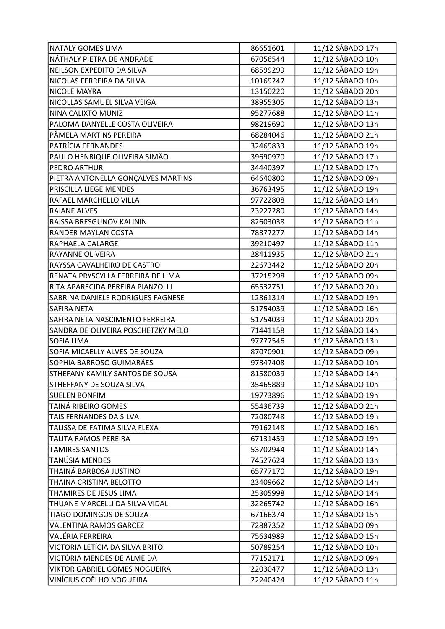| <b>NATALY GOMES LIMA</b>           | 86651601 | 11/12 SÁBADO 17h |
|------------------------------------|----------|------------------|
| NÁTHALY PIETRA DE ANDRADE          | 67056544 | 11/12 SÁBADO 10h |
| NEILSON EXPEDITO DA SILVA          | 68599299 | 11/12 SÁBADO 19h |
| NICOLAS FERREIRA DA SILVA          | 10169247 | 11/12 SÁBADO 10h |
| NICOLE MAYRA                       | 13150220 | 11/12 SÁBADO 20h |
| NICOLLAS SAMUEL SILVA VEIGA        | 38955305 | 11/12 SÁBADO 13h |
| NINA CALIXTO MUNIZ                 | 95277688 | 11/12 SÁBADO 11h |
| PALOMA DANYELLE COSTA OLIVEIRA     | 98219690 | 11/12 SÁBADO 13h |
| PÂMELA MARTINS PEREIRA             | 68284046 | 11/12 SÁBADO 21h |
| PATRÍCIA FERNANDES                 | 32469833 | 11/12 SÁBADO 19h |
| PAULO HENRIQUE OLIVEIRA SIMÃO      | 39690970 | 11/12 SÁBADO 17h |
| PEDRO ARTHUR                       | 34440397 | 11/12 SÁBADO 17h |
| PIETRA ANTONELLA GONÇALVES MARTINS | 64640800 | 11/12 SÁBADO 09h |
| PRISCILLA LIEGE MENDES             | 36763495 | 11/12 SÁBADO 19h |
| RAFAEL MARCHELLO VILLA             | 97722808 | 11/12 SÁBADO 14h |
| <b>RAIANE ALVES</b>                | 23227280 | 11/12 SÁBADO 14h |
| RAISSA BRESGUNOV KALININ           | 82603038 | 11/12 SÁBADO 11h |
| RANDER MAYLAN COSTA                | 78877277 | 11/12 SÁBADO 14h |
| RAPHAELA CALARGE                   | 39210497 | 11/12 SÁBADO 11h |
| RAYANNE OLIVEIRA                   | 28411935 | 11/12 SÁBADO 21h |
| RAYSSA CAVALHEIRO DE CASTRO        | 22673442 | 11/12 SÁBADO 20h |
| RENATA PRYSCYLLA FERREIRA DE LIMA  | 37215298 | 11/12 SÁBADO 09h |
| RITA APARECIDA PEREIRA PIANZOLLI   | 65532751 | 11/12 SÁBADO 20h |
| SABRINA DANIELE RODRIGUES FAGNESE  | 12861314 | 11/12 SÁBADO 19h |
| SAFIRA NETA                        | 51754039 | 11/12 SÁBADO 16h |
| SAFIRA NETA NASCIMENTO FERREIRA    | 51754039 | 11/12 SÁBADO 20h |
| SANDRA DE OLIVEIRA POSCHETZKY MELO | 71441158 | 11/12 SÁBADO 14h |
| SOFIA LIMA                         | 97777546 | 11/12 SÁBADO 13h |
| SOFIA MICAELLY ALVES DE SOUZA      | 87070901 | 11/12 SÁBADO 09h |
| SOPHIA BARROSO GUIMARÃES           | 97847408 | 11/12 SÁBADO 10h |
| STHEFANY KAMILY SANTOS DE SOUSA    | 81580039 | 11/12 SÁBADO 14h |
| STHEFFANY DE SOUZA SILVA           | 35465889 | 11/12 SÁBADO 10h |
| <b>SUELEN BONFIM</b>               | 19773896 | 11/12 SÁBADO 19h |
| TAINÁ RIBEIRO GOMES                | 55436739 | 11/12 SÁBADO 21h |
| TAIS FERNANDES DA SILVA            | 72080748 | 11/12 SÁBADO 19h |
| TALISSA DE FATIMA SILVA FLEXA      | 79162148 | 11/12 SÁBADO 16h |
| TALITA RAMOS PEREIRA               | 67131459 | 11/12 SÁBADO 19h |
| <b>TAMIRES SANTOS</b>              | 53702944 | 11/12 SÁBADO 14h |
| TANÚSIA MENDES                     | 74527624 | 11/12 SÁBADO 13h |
| THAINÁ BARBOSA JUSTINO             | 65777170 | 11/12 SÁBADO 19h |
| THAINA CRISTINA BELOTTO            | 23409662 | 11/12 SÁBADO 14h |
| THAMIRES DE JESUS LIMA             | 25305998 | 11/12 SÁBADO 14h |
| THUANE MARCELLI DA SILVA VIDAL     | 32265742 | 11/12 SÁBADO 16h |
| TIAGO DOMINGOS DE SOUZA            | 67166374 | 11/12 SÁBADO 15h |
| <b>VALENTINA RAMOS GARCEZ</b>      | 72887352 | 11/12 SÁBADO 09h |
| VALÉRIA FERREIRA                   | 75634989 | 11/12 SÁBADO 15h |
| VICTORIA LETÍCIA DA SILVA BRITO    | 50789254 | 11/12 SÁBADO 10h |
| VICTÓRIA MENDES DE ALMEIDA         | 77152171 | 11/12 SÁBADO 09h |
| VIKTOR GABRIEL GOMES NOGUEIRA      | 22030477 | 11/12 SÁBADO 13h |
| VINÍCIUS COÊLHO NOGUEIRA           | 22240424 | 11/12 SÁBADO 11h |